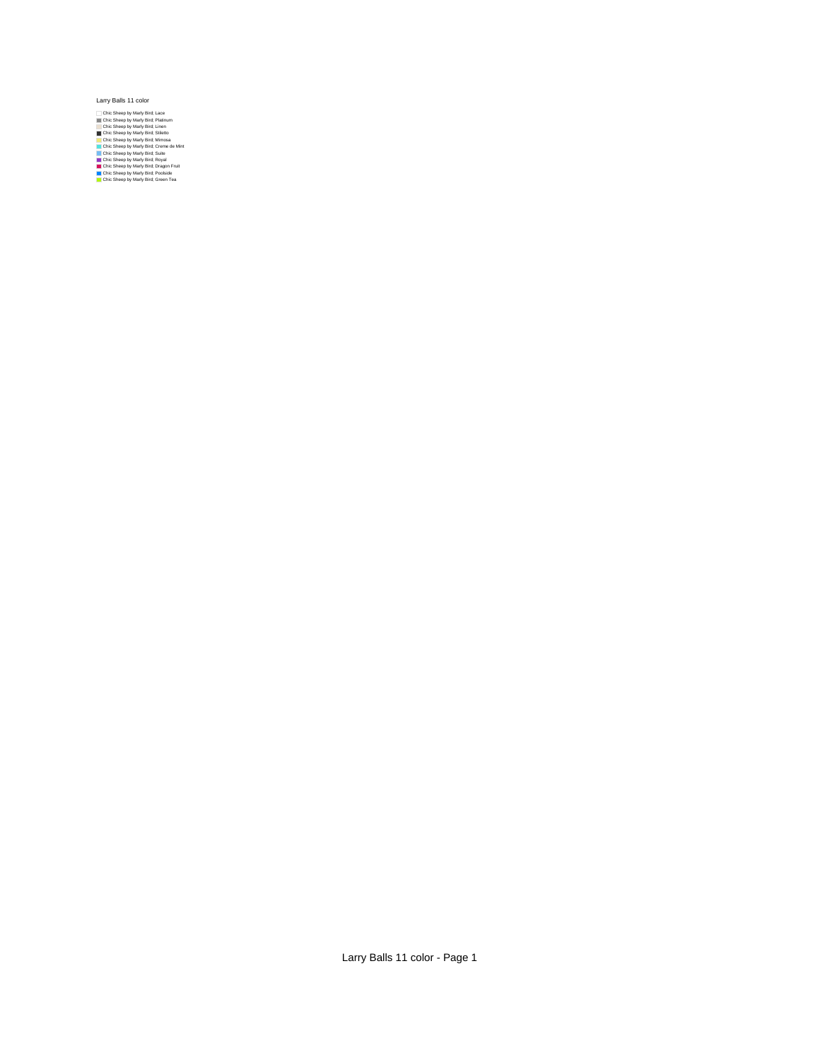Larry Balls 11 color

Chic Sheep by Marty Bird; Lace<br>Chic Sheep by Marty Bird; Platinum<br>Chic Sheep by Marty Bird; Diant<br>Chic Sheep by Marty Bird; Slitetto<br>Chic Sheep by Marty Bird; Slitetto<br>Chic Sheep by Marty Bird; Cleme de Mint<br>Chic Sheep by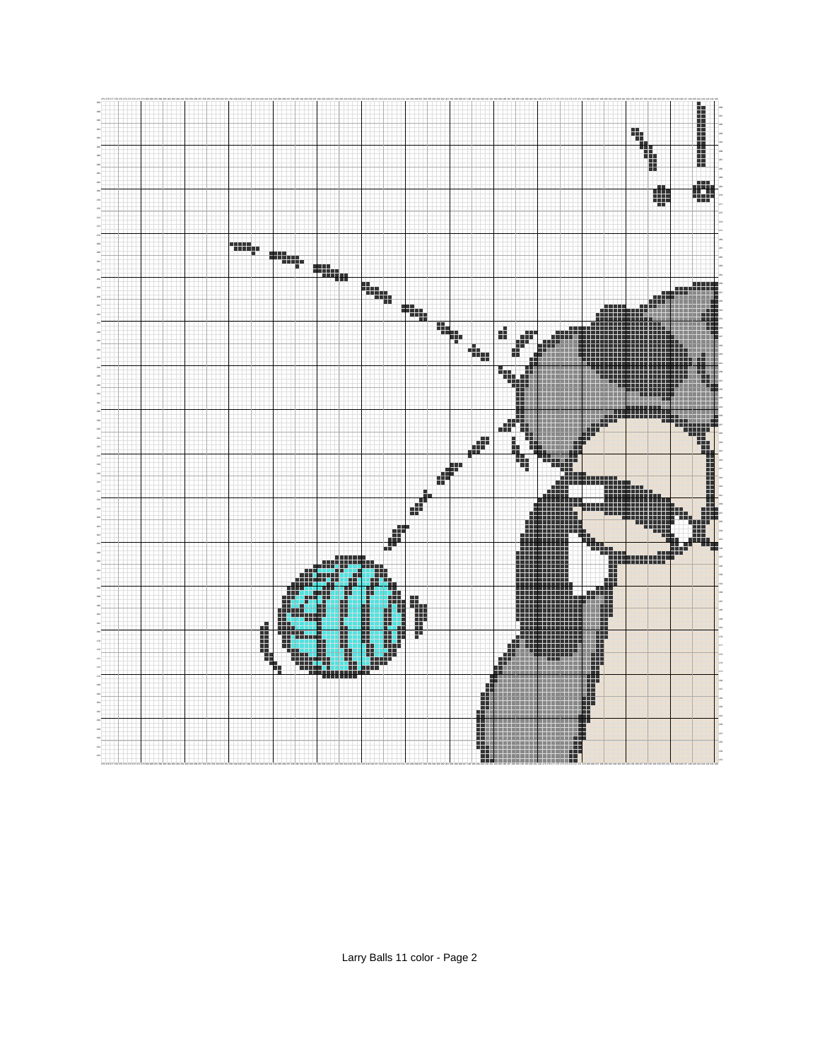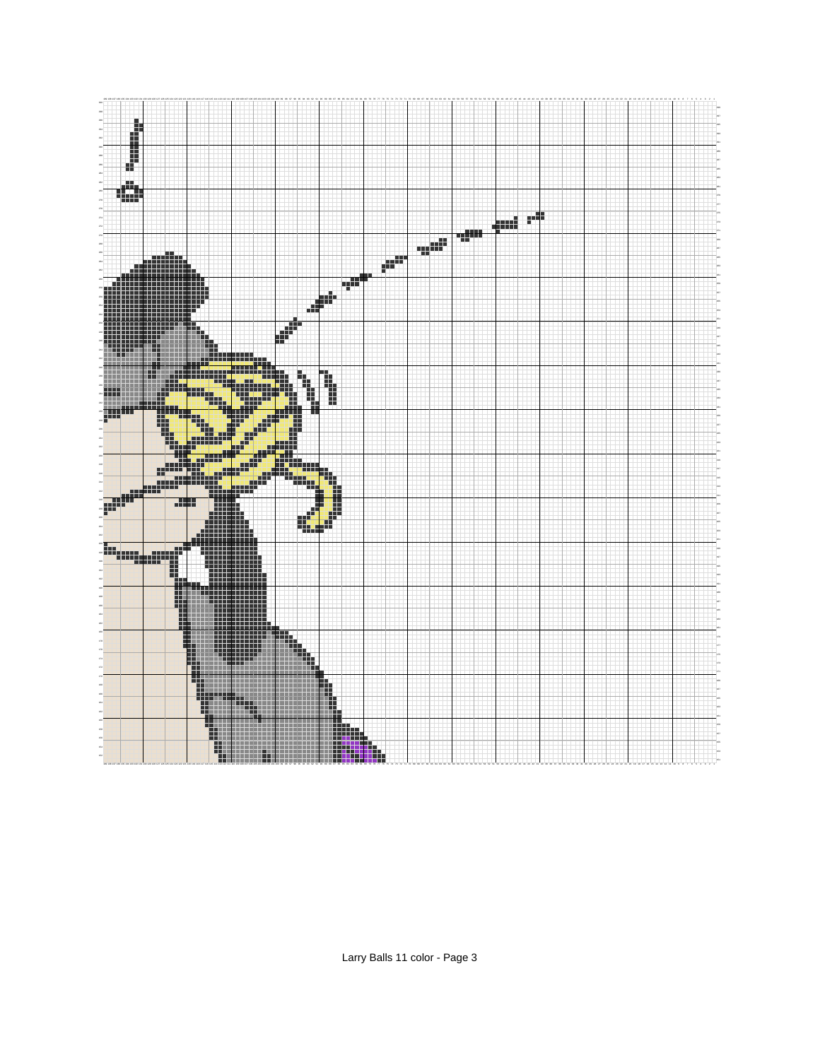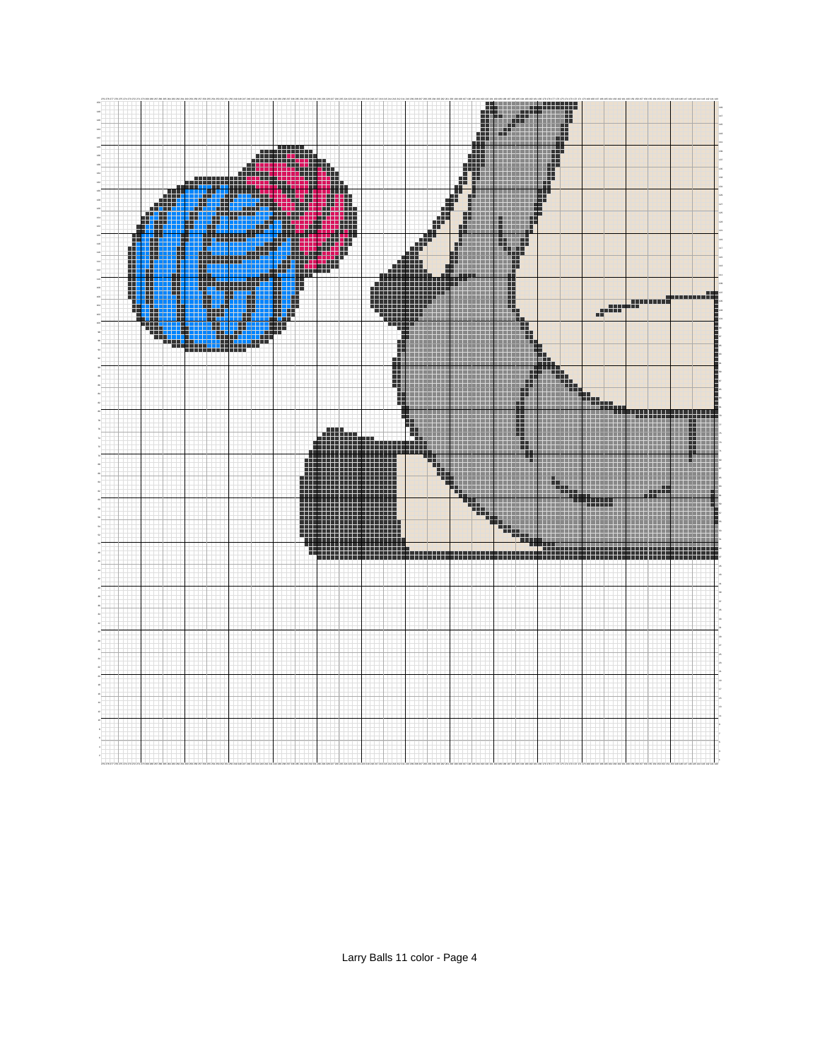